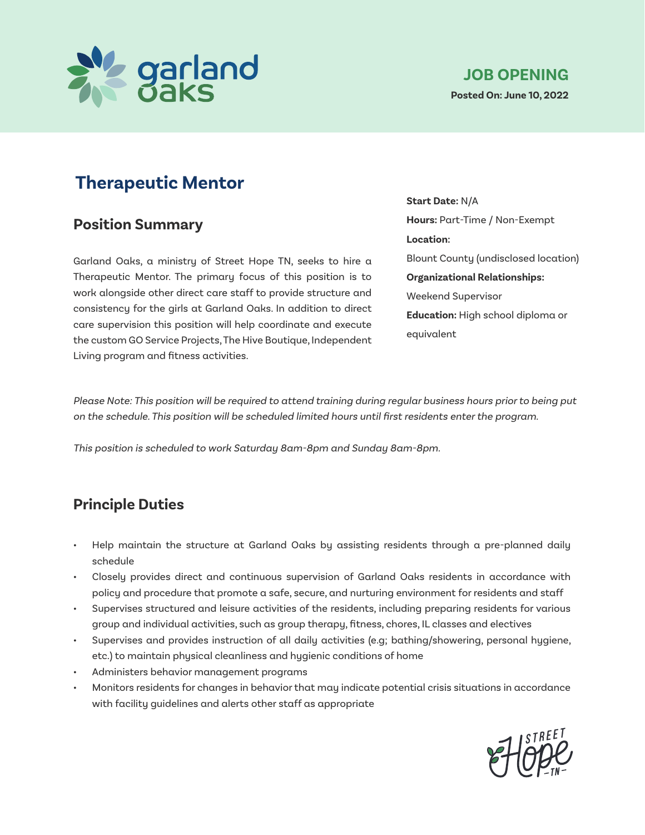

### **Position Summary**

Garland Oaks, a ministry of Street Hope TN, seeks to hire a Therapeutic Mentor. The primary focus of this position is to work alongside other direct care staff to provide structure and consistency for the girls at Garland Oaks. In addition to direct care supervision this position will help coordinate and execute the custom GO Service Projects, The Hive Boutique, Independent Living program and fitness activities.

**Start Date:** N/A **Hours:** Part-Time / Non-Exempt **Location:**  Blount County (undisclosed location) **Organizational Relationships:**  Weekend Supervisor **Education:** High school diploma or equivalent

Please Note: This position will be required to attend training during regular business hours prior to being put on the schedule. This position will be scheduled limited hours until first residents enter the program.

This position is scheduled to work Saturday 8am-8pm and Sunday 8am-8pm.

### **Principle Duties**

- Help maintain the structure at Garland Oaks by assisting residents through a pre-planned daily schedule
- Closely provides direct and continuous supervision of Garland Oaks residents in accordance with policy and procedure that promote a safe, secure, and nurturing environment for residents and staff
- Supervises structured and leisure activities of the residents, including preparing residents for various group and individual activities, such as group therapy, fitness, chores, IL classes and electives
- Supervises and provides instruction of all daily activities (e.g; bathing/showering, personal hygiene, etc.) to maintain physical cleanliness and hygienic conditions of home
- Administers behavior management programs
- Monitors residents for changes in behavior that may indicate potential crisis situations in accordance with facility guidelines and alerts other staff as appropriate

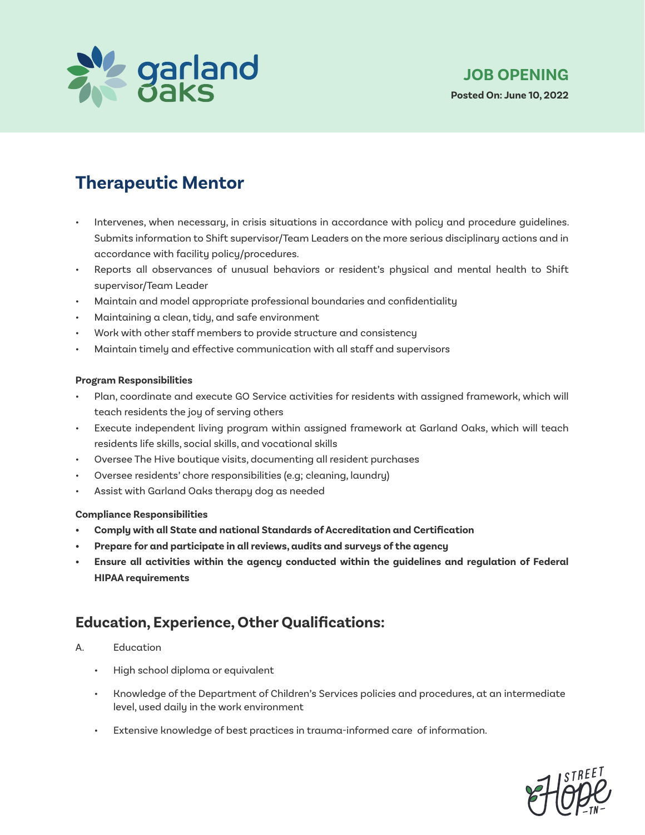

- Intervenes, when necessary, in crisis situations in accordance with policy and procedure guidelines. Submits information to Shift supervisor/Team Leaders on the more serious disciplinary actions and in accordance with facility policy/procedures.
- Reports all observances of unusual behaviors or resident's physical and mental health to Shift supervisor/Team Leader
- Maintain and model appropriate professional boundaries and confidentiality
- Maintaining a clean, tidy, and safe environment
- Work with other staff members to provide structure and consistency
- Maintain timely and effective communication with all staff and supervisors

#### **Program Responsibilities**

- Plan, coordinate and execute GO Service activities for residents with assigned framework, which will teach residents the joy of serving others
- Execute independent living program within assigned framework at Garland Oaks, which will teach residents life skills, social skills, and vocational skills
- Oversee The Hive boutique visits, documenting all resident purchases
- Oversee residents' chore responsibilities (e.g; cleaning, laundry)
- Assist with Garland Oaks therapy dog as needed

#### **Compliance Responsibilities**

- **• Comply with all State and national Standards of Accreditation and Certification**
- **• Prepare for and participate in all reviews, audits and surveys of the agency**
- **• Ensure all activities within the agency conducted within the guidelines and regulation of Federal HIPAA requirements**

### **Education, Experience, Other Qualifications:**

### A. Education

- High school diploma or equivalent
- Knowledge of the Department of Children's Services policies and procedures, at an intermediate level, used daily in the work environment
- Extensive knowledge of best practices in trauma-informed care of information.

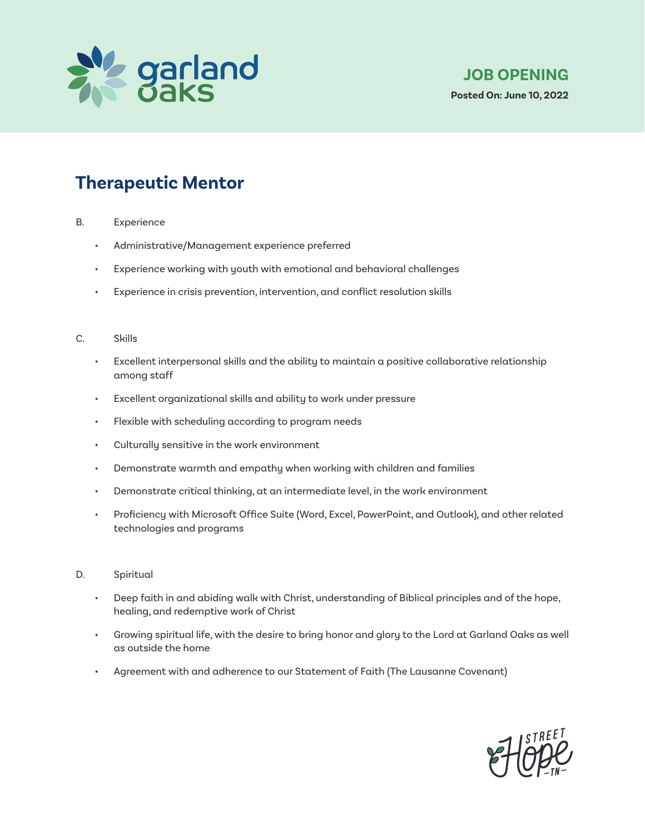

- B. Experience
	- Administrative/Management experience preferred
	- Experience working with youth with emotional and behavioral challenges
	- Experience in crisis prevention, intervention, and conflict resolution skills

#### C. Skills

- Excellent interpersonal skills and the ability to maintain a positive collaborative relationship among staff
- Excellent organizational skills and ability to work under pressure
- Flexible with scheduling according to program needs
- Culturally sensitive in the work environment
- Demonstrate warmth and empathy when working with children and families
- Demonstrate critical thinking, at an intermediate level, in the work environment
- Proficiency with Microsoft Office Suite (Word, Excel, PowerPoint, and Outlook), and other related technologies and programs
- D. Spiritual
	- Deep faith in and abiding walk with Christ, understanding of Biblical principles and of the hope, healing, and redemptive work of Christ
	- Growing spiritual life, with the desire to bring honor and glory to the Lord at Garland Oaks as well as outside the home
	- Agreement with and adherence to our Statement of Faith (The Lausanne Covenant)